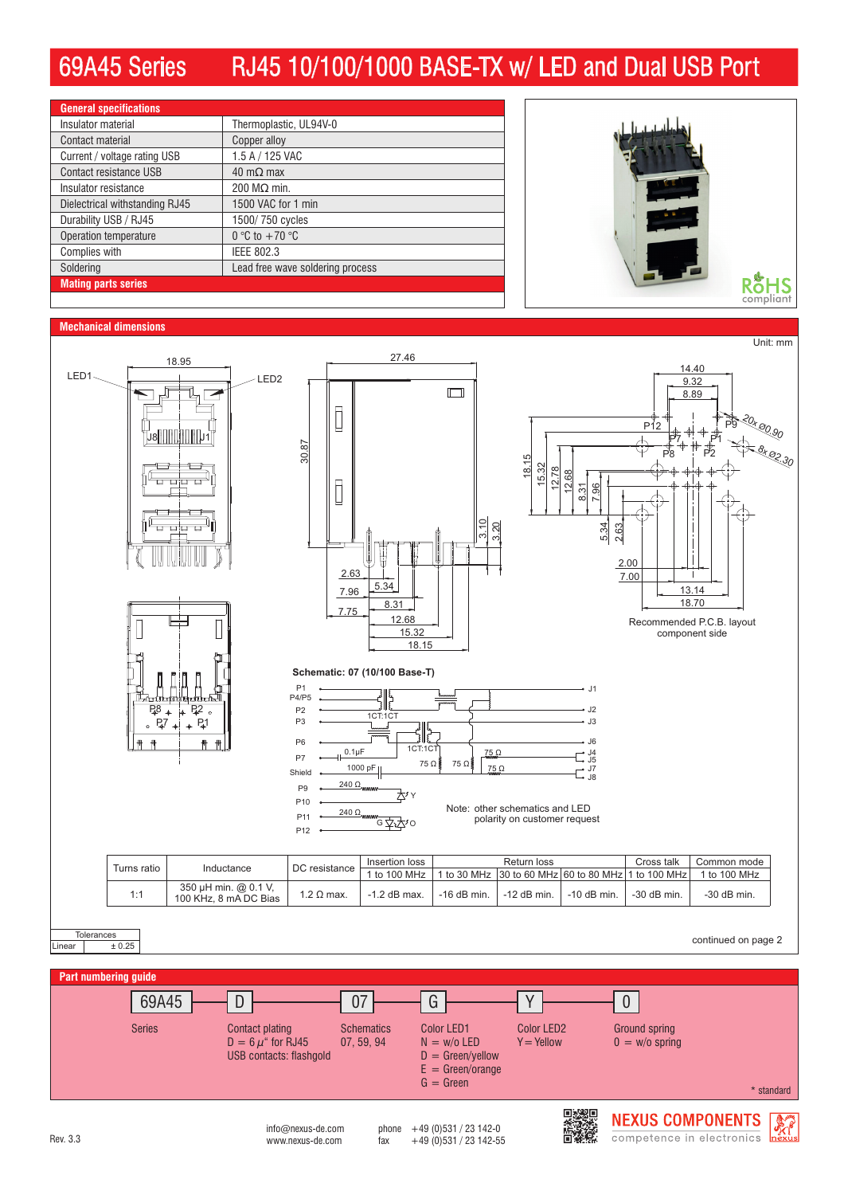## 69A45 Series RJ45 10/100/1000 BASE-TX w/ LED and Dual USB Port

| <b>General specifications</b>  |                                  |
|--------------------------------|----------------------------------|
| Insulator material             | Thermoplastic, UL94V-0           |
| Contact material               | Copper alloy                     |
| Current / voltage rating USB   | 1.5 A / 125 VAC                  |
| Contact resistance USB         | $40 \text{ m}\Omega$ max         |
| Insulator resistance           | 200 $MO$ min.                    |
| Dielectrical withstanding RJ45 | 1500 VAC for 1 min               |
| Durability USB / RJ45          | 1500/750 cycles                  |
| Operation temperature          | 0 °C to $+70$ °C                 |
| Complies with                  | <b>IEEE 802.3</b>                |
| Soldering                      | Lead free wave soldering process |
| <b>Mating parts series</b>     |                                  |
|                                |                                  |



## **Mechanical dimensions**





 $int_{\text{M}}$  info@nexus-de.com phone +49 (0)531 / 23 142-0<br>www.nexus-de.com fax +49 (0)531 / 23 142-5 Rev. 3.3 www.nexus-de.com fax +49 (0)531 / 23 142-55